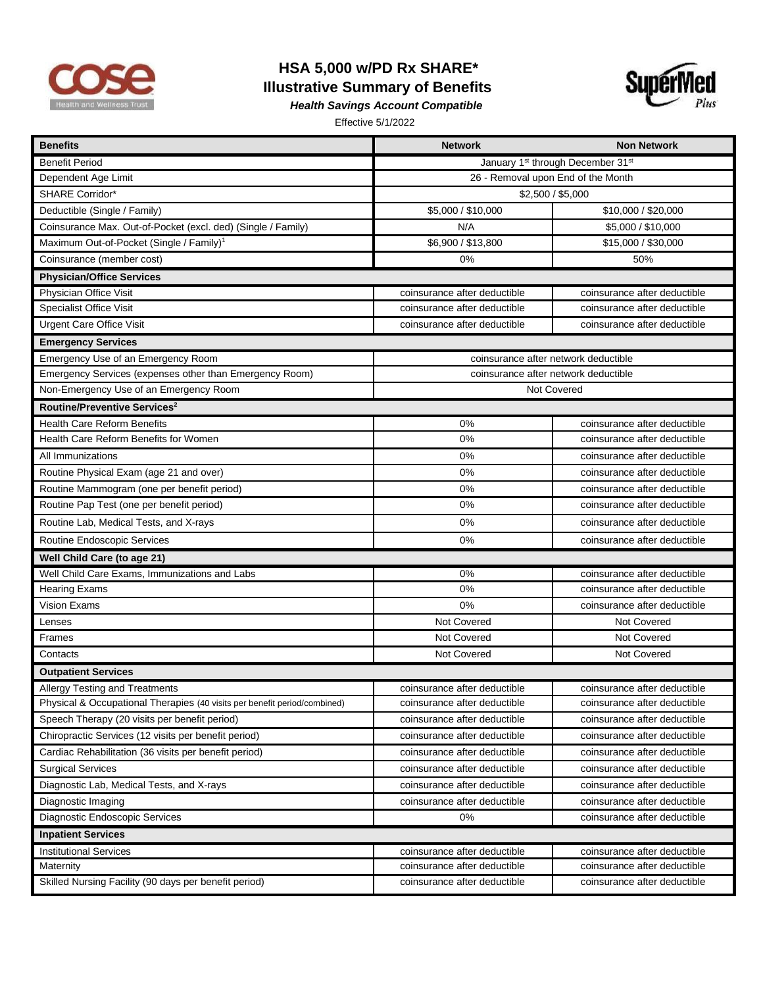

## **HSA 5,000 w/PD Rx SHARE\* Illustrative Summary of Benefits**



*Health Savings Account Compatible* 

Effective 5/1/2022

| <b>Benefits</b>                                                           | <b>Network</b>                                            | <b>Non Network</b>           |  |
|---------------------------------------------------------------------------|-----------------------------------------------------------|------------------------------|--|
| <b>Benefit Period</b>                                                     | January 1 <sup>st</sup> through December 31 <sup>st</sup> |                              |  |
| Dependent Age Limit                                                       | 26 - Removal upon End of the Month                        |                              |  |
| <b>SHARE Corridor*</b>                                                    | \$2,500 / \$5,000                                         |                              |  |
| Deductible (Single / Family)                                              | \$5,000 / \$10,000                                        | \$10,000 / \$20,000          |  |
| Coinsurance Max. Out-of-Pocket (excl. ded) (Single / Family)              | N/A                                                       | \$5,000 / \$10,000           |  |
| Maximum Out-of-Pocket (Single / Family) <sup>1</sup>                      | \$6,900 / \$13,800                                        | \$15,000 / \$30,000          |  |
| Coinsurance (member cost)                                                 | 0%                                                        | 50%                          |  |
| <b>Physician/Office Services</b>                                          |                                                           |                              |  |
| Physician Office Visit                                                    | coinsurance after deductible                              | coinsurance after deductible |  |
| <b>Specialist Office Visit</b>                                            | coinsurance after deductible                              | coinsurance after deductible |  |
| <b>Urgent Care Office Visit</b>                                           | coinsurance after deductible                              | coinsurance after deductible |  |
| <b>Emergency Services</b>                                                 |                                                           |                              |  |
| Emergency Use of an Emergency Room                                        | coinsurance after network deductible                      |                              |  |
| Emergency Services (expenses other than Emergency Room)                   | coinsurance after network deductible                      |                              |  |
| Non-Emergency Use of an Emergency Room                                    | Not Covered                                               |                              |  |
| Routine/Preventive Services <sup>2</sup>                                  |                                                           |                              |  |
| <b>Health Care Reform Benefits</b>                                        | 0%                                                        | coinsurance after deductible |  |
| Health Care Reform Benefits for Women                                     | 0%                                                        | coinsurance after deductible |  |
| All Immunizations                                                         | 0%                                                        | coinsurance after deductible |  |
| Routine Physical Exam (age 21 and over)                                   | 0%                                                        | coinsurance after deductible |  |
| Routine Mammogram (one per benefit period)                                | 0%                                                        | coinsurance after deductible |  |
| Routine Pap Test (one per benefit period)                                 | 0%                                                        | coinsurance after deductible |  |
| Routine Lab, Medical Tests, and X-rays                                    | 0%                                                        | coinsurance after deductible |  |
| Routine Endoscopic Services                                               | 0%                                                        | coinsurance after deductible |  |
| Well Child Care (to age 21)                                               |                                                           |                              |  |
| Well Child Care Exams, Immunizations and Labs                             | 0%                                                        | coinsurance after deductible |  |
| <b>Hearing Exams</b>                                                      | 0%                                                        | coinsurance after deductible |  |
| <b>Vision Exams</b>                                                       | 0%                                                        | coinsurance after deductible |  |
| Lenses                                                                    | Not Covered                                               | Not Covered                  |  |
| Frames                                                                    | Not Covered                                               | <b>Not Covered</b>           |  |
| Contacts                                                                  | Not Covered                                               | Not Covered                  |  |
| <b>Outpatient Services</b>                                                |                                                           |                              |  |
| <b>Allergy Testing and Treatments</b>                                     | coinsurance after deductible                              | coinsurance after deductible |  |
| Physical & Occupational Therapies (40 visits per benefit period/combined) | coinsurance after deductible                              | coinsurance after deductible |  |
| Speech Therapy (20 visits per benefit period)                             | coinsurance after deductible                              | coinsurance after deductible |  |
| Chiropractic Services (12 visits per benefit period)                      | coinsurance after deductible                              | coinsurance after deductible |  |
| Cardiac Rehabilitation (36 visits per benefit period)                     | coinsurance after deductible                              | coinsurance after deductible |  |
| <b>Surgical Services</b>                                                  | coinsurance after deductible                              | coinsurance after deductible |  |
| Diagnostic Lab, Medical Tests, and X-rays                                 | coinsurance after deductible                              | coinsurance after deductible |  |
| Diagnostic Imaging                                                        | coinsurance after deductible                              | coinsurance after deductible |  |
| Diagnostic Endoscopic Services                                            | 0%                                                        | coinsurance after deductible |  |
| <b>Inpatient Services</b>                                                 |                                                           |                              |  |
| <b>Institutional Services</b>                                             | coinsurance after deductible                              | coinsurance after deductible |  |
| Maternity                                                                 | coinsurance after deductible                              | coinsurance after deductible |  |
| Skilled Nursing Facility (90 days per benefit period)                     | coinsurance after deductible                              | coinsurance after deductible |  |